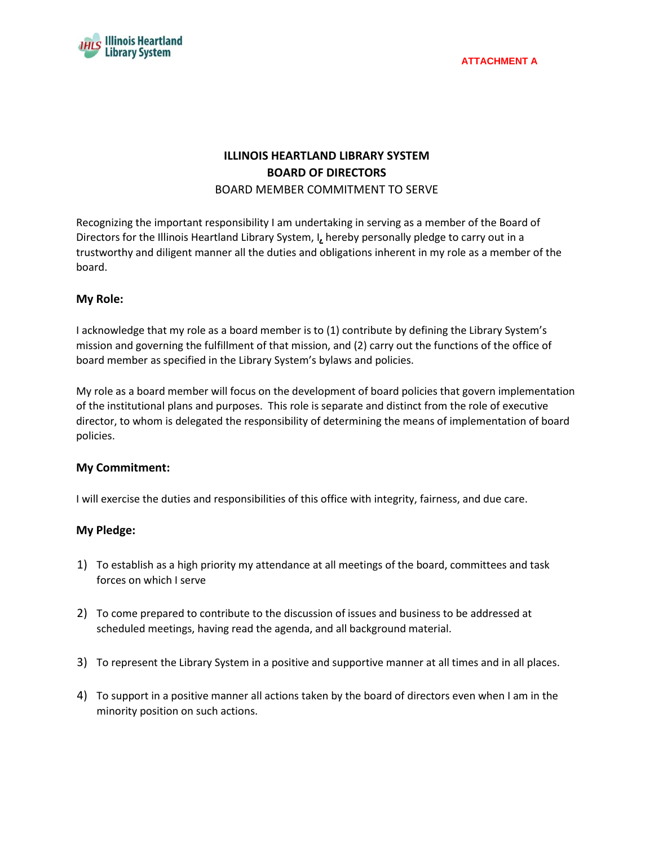

# **ILLINOIS HEARTLAND LIBRARY SYSTEM BOARD OF DIRECTORS**

#### BOARD MEMBER COMMITMENT TO SERVE

Recognizing the important responsibility I am undertaking in serving as a member of the Board of Directors for the Illinois Heartland Library System, I*,* hereby personally pledge to carry out in a trustworthy and diligent manner all the duties and obligations inherent in my role as a member of the board.

## **My Role:**

I acknowledge that my role as a board member is to (1) contribute by defining the Library System's mission and governing the fulfillment of that mission, and (2) carry out the functions of the office of board member as specified in the Library System's bylaws and policies.

My role as a board member will focus on the development of board policies that govern implementation of the institutional plans and purposes. This role is separate and distinct from the role of executive director, to whom is delegated the responsibility of determining the means of implementation of board policies.

## **My Commitment:**

I will exercise the duties and responsibilities of this office with integrity, fairness, and due care.

## **My Pledge:**

- 1) To establish as a high priority my attendance at all meetings of the board, committees and task forces on which I serve
- 2) To come prepared to contribute to the discussion of issues and business to be addressed at scheduled meetings, having read the agenda, and all background material.
- 3) To represent the Library System in a positive and supportive manner at all times and in all places.
- 4) To support in a positive manner all actions taken by the board of directors even when I am in the minority position on such actions.